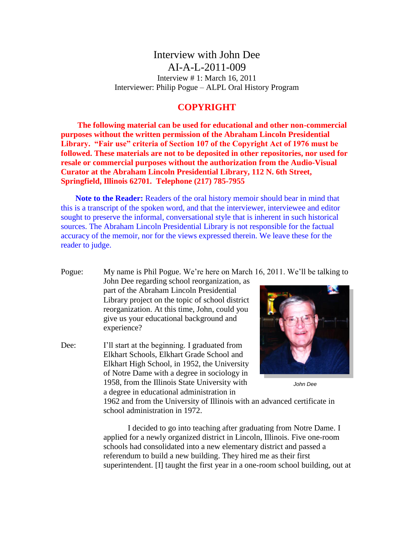Interview with John Dee AI-A-L-2011-009 Interview # 1: March 16, 2011 Interviewer: Philip Pogue – ALPL Oral History Program

## **COPYRIGHT**

**The following material can be used for educational and other non-commercial purposes without the written permission of the Abraham Lincoln Presidential Library. "Fair use" criteria of Section 107 of the Copyright Act of 1976 must be followed. These materials are not to be deposited in other repositories, nor used for resale or commercial purposes without the authorization from the Audio-Visual Curator at the Abraham Lincoln Presidential Library, 112 N. 6th Street, Springfield, Illinois 62701. Telephone (217) 785-7955**

**Note to the Reader:** Readers of the oral history memoir should bear in mind that this is a transcript of the spoken word, and that the interviewer, interviewee and editor sought to preserve the informal, conversational style that is inherent in such historical sources. The Abraham Lincoln Presidential Library is not responsible for the factual accuracy of the memoir, nor for the views expressed therein. We leave these for the reader to judge.

Pogue: My name is Phil Pogue. We're here on March 16, 2011. We'll be talking to John Dee regarding school reorganization, as part of the Abraham Lincoln Presidential Library project on the topic of school district reorganization. At this time, John, could you give us your educational background and experience?

Dee: I'll start at the beginning. I graduated from Elkhart Schools, Elkhart Grade School and Elkhart High School, in 1952, the University of Notre Dame with a degree in sociology in 1958, from the Illinois State University with a degree in educational administration in



*John Dee*

1962 and from the University of Illinois with an advanced certificate in school administration in 1972.

I decided to go into teaching after graduating from Notre Dame. I applied for a newly organized district in Lincoln, Illinois. Five one-room schools had consolidated into a new elementary district and passed a referendum to build a new building. They hired me as their first superintendent. [I] taught the first year in a one-room school building, out at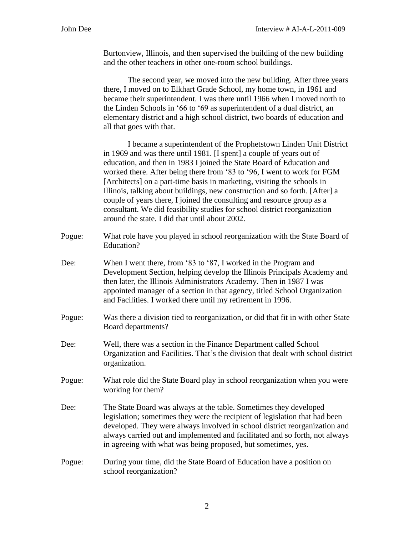Burtonview, Illinois, and then supervised the building of the new building and the other teachers in other one-room school buildings.

The second year, we moved into the new building. After three years there, I moved on to Elkhart Grade School, my home town, in 1961 and became their superintendent. I was there until 1966 when I moved north to the Linden Schools in '66 to '69 as superintendent of a dual district, an elementary district and a high school district, two boards of education and all that goes with that.

I became a superintendent of the Prophetstown Linden Unit District in 1969 and was there until 1981. [I spent] a couple of years out of education, and then in 1983 I joined the State Board of Education and worked there. After being there from '83 to '96, I went to work for FGM [Architects] on a part-time basis in marketing, visiting the schools in Illinois, talking about buildings, new construction and so forth. [After] a couple of years there, I joined the consulting and resource group as a consultant. We did feasibility studies for school district reorganization around the state. I did that until about 2002.

- Pogue: What role have you played in school reorganization with the State Board of Education?
- Dee: When I went there, from '83 to '87, I worked in the Program and Development Section, helping develop the Illinois Principals Academy and then later, the Illinois Administrators Academy. Then in 1987 I was appointed manager of a section in that agency, titled School Organization and Facilities. I worked there until my retirement in 1996.
- Pogue: Was there a division tied to reorganization, or did that fit in with other State Board departments?
- Dee: Well, there was a section in the Finance Department called School Organization and Facilities. That's the division that dealt with school district organization.
- Pogue: What role did the State Board play in school reorganization when you were working for them?
- Dee: The State Board was always at the table. Sometimes they developed legislation; sometimes they were the recipient of legislation that had been developed. They were always involved in school district reorganization and always carried out and implemented and facilitated and so forth, not always in agreeing with what was being proposed, but sometimes, yes.
- Pogue: During your time, did the State Board of Education have a position on school reorganization?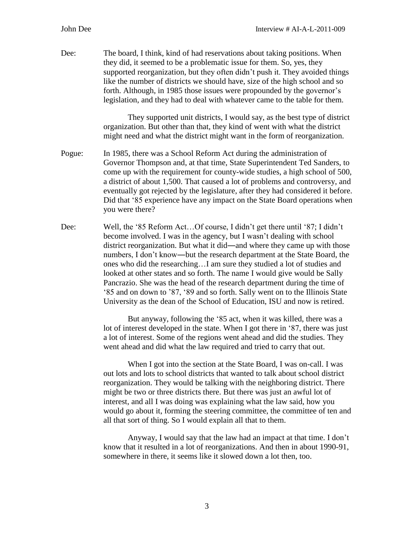Dee: The board, I think, kind of had reservations about taking positions. When they did, it seemed to be a problematic issue for them. So, yes, they supported reorganization, but they often didn't push it. They avoided things like the number of districts we should have, size of the high school and so forth. Although, in 1985 those issues were propounded by the governor's legislation, and they had to deal with whatever came to the table for them.

> They supported unit districts, I would say, as the best type of district organization. But other than that, they kind of went with what the district might need and what the district might want in the form of reorganization.

- Pogue: In 1985, there was a School Reform Act during the administration of Governor Thompson and, at that time, State Superintendent Ted Sanders, to come up with the requirement for county-wide studies, a high school of 500, a district of about 1,500. That caused a lot of problems and controversy, and eventually got rejected by the legislature, after they had considered it before. Did that '85 experience have any impact on the State Board operations when you were there?
- Dee: Well, the '85 Reform Act…Of course, I didn't get there until '87; I didn't become involved. I was in the agency, but I wasn't dealing with school district reorganization. But what it did―and where they came up with those numbers, I don't know―but the research department at the State Board, the ones who did the researching…I am sure they studied a lot of studies and looked at other states and so forth. The name I would give would be Sally Pancrazio. She was the head of the research department during the time of '85 and on down to '87, '89 and so forth. Sally went on to the Illinois State University as the dean of the School of Education, ISU and now is retired.

But anyway, following the '85 act, when it was killed, there was a lot of interest developed in the state. When I got there in '87, there was just a lot of interest. Some of the regions went ahead and did the studies. They went ahead and did what the law required and tried to carry that out.

When I got into the section at the State Board, I was on-call. I was out lots and lots to school districts that wanted to talk about school district reorganization. They would be talking with the neighboring district. There might be two or three districts there. But there was just an awful lot of interest, and all I was doing was explaining what the law said, how you would go about it, forming the steering committee, the committee of ten and all that sort of thing. So I would explain all that to them.

Anyway, I would say that the law had an impact at that time. I don't know that it resulted in a lot of reorganizations. And then in about 1990-91, somewhere in there, it seems like it slowed down a lot then, too.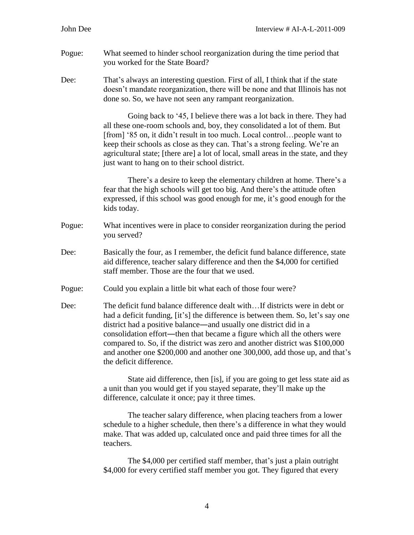- Pogue: What seemed to hinder school reorganization during the time period that you worked for the State Board?
- Dee: That's always an interesting question. First of all, I think that if the state doesn't mandate reorganization, there will be none and that Illinois has not done so. So, we have not seen any rampant reorganization.

Going back to '45, I believe there was a lot back in there. They had all these one-room schools and, boy, they consolidated a lot of them. But [from] '85 on, it didn't result in too much. Local control…people want to keep their schools as close as they can. That's a strong feeling. We're an agricultural state; [there are] a lot of local, small areas in the state, and they just want to hang on to their school district.

There's a desire to keep the elementary children at home. There's a fear that the high schools will get too big. And there's the attitude often expressed, if this school was good enough for me, it's good enough for the kids today.

- Pogue: What incentives were in place to consider reorganization during the period you served?
- Dee: Basically the four, as I remember, the deficit fund balance difference, state aid difference, teacher salary difference and then the \$4,000 for certified staff member. Those are the four that we used.
- Pogue: Could you explain a little bit what each of those four were?
- Dee: The deficit fund balance difference dealt with…If districts were in debt or had a deficit funding, [it's] the difference is between them. So, let's say one district had a positive balance―and usually one district did in a consolidation effort―then that became a figure which all the others were compared to. So, if the district was zero and another district was \$100,000 and another one \$200,000 and another one 300,000, add those up, and that's the deficit difference.

State aid difference, then [is], if you are going to get less state aid as a unit than you would get if you stayed separate, they'll make up the difference, calculate it once; pay it three times.

The teacher salary difference, when placing teachers from a lower schedule to a higher schedule, then there's a difference in what they would make. That was added up, calculated once and paid three times for all the teachers.

The \$4,000 per certified staff member, that's just a plain outright \$4,000 for every certified staff member you got. They figured that every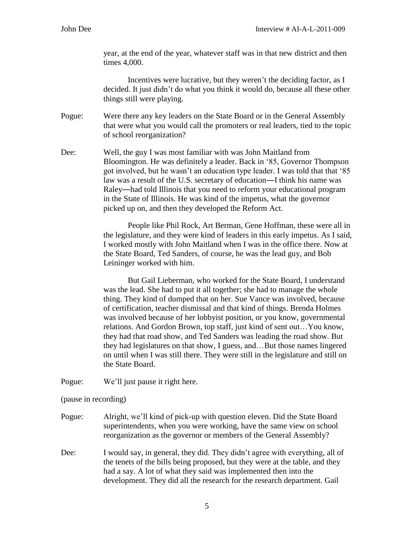year, at the end of the year, whatever staff was in that new district and then times 4,000.

Incentives were lucrative, but they weren't the deciding factor, as I decided. It just didn't do what you think it would do, because all these other things still were playing.

Pogue: Were there any key leaders on the State Board or in the General Assembly that were what you would call the promoters or real leaders, tied to the topic of school reorganization?

Dee: Well, the guy I was most familiar with was John Maitland from Bloomington. He was definitely a leader. Back in '85, Governor Thompson got involved, but he wasn't an education type leader. I was told that that '85 law was a result of the U.S. secretary of education―I think his name was Raley―had told Illinois that you need to reform your educational program in the State of Illinois. He was kind of the impetus, what the governor picked up on, and then they developed the Reform Act.

> People like Phil Rock, Art Berman, Gene Hoffman, these were all in the legislature, and they were kind of leaders in this early impetus. As I said, I worked mostly with John Maitland when I was in the office there. Now at the State Board, Ted Sanders, of course, he was the lead guy, and Bob Leininger worked with him.

But Gail Lieberman, who worked for the State Board, I understand was the lead. She had to put it all together; she had to manage the whole thing. They kind of dumped that on her. Sue Vance was involved, because of certification, teacher dismissal and that kind of things. Brenda Holmes was involved because of her lobbyist position, or you know, governmental relations. And Gordon Brown, top staff, just kind of sent out…You know, they had that road show, and Ted Sanders was leading the road show. But they had legislatures on that show, I guess, and…But those names lingered on until when I was still there. They were still in the legislature and still on the State Board.

Pogue: We'll just pause it right here.

(pause in recording)

- Pogue: Alright, we'll kind of pick-up with question eleven. Did the State Board superintendents, when you were working, have the same view on school reorganization as the governor or members of the General Assembly?
- Dee: I would say, in general, they did. They didn't agree with everything, all of the tenets of the bills being proposed, but they were at the table, and they had a say. A lot of what they said was implemented then into the development. They did all the research for the research department. Gail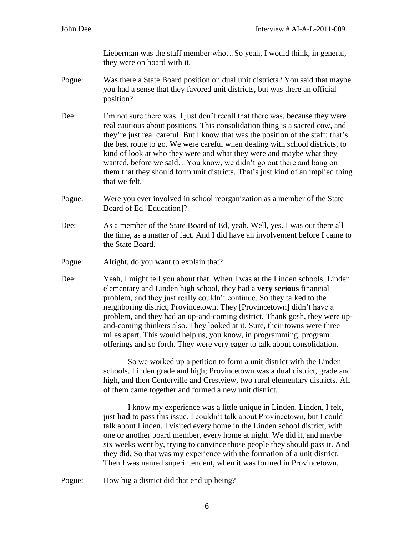Lieberman was the staff member who…So yeah, I would think, in general, they were on board with it.

- Pogue: Was there a State Board position on dual unit districts? You said that maybe you had a sense that they favored unit districts, but was there an official position?
- Dee: I'm not sure there was. I just don't recall that there was, because they were real cautious about positions. This consolidation thing is a sacred cow, and they're just real careful. But I know that was the position of the staff; that's the best route to go. We were careful when dealing with school districts, to kind of look at who they were and what they were and maybe what they wanted, before we said…You know, we didn't go out there and bang on them that they should form unit districts. That's just kind of an implied thing that we felt.
- Pogue: Were you ever involved in school reorganization as a member of the State Board of Ed [Education]?
- Dee: As a member of the State Board of Ed, yeah. Well, yes. I was out there all the time, as a matter of fact. And I did have an involvement before I came to the State Board.
- Pogue: Alright, do you want to explain that?
- Dee: Yeah, I might tell you about that. When I was at the Linden schools, Linden elementary and Linden high school, they had a **very serious** financial problem, and they just really couldn't continue. So they talked to the neighboring district, Provincetown. They [Provincetown] didn't have a problem, and they had an up-and-coming district. Thank gosh, they were upand-coming thinkers also. They looked at it. Sure, their towns were three miles apart. This would help us, you know, in programming, program offerings and so forth. They were very eager to talk about consolidation.

So we worked up a petition to form a unit district with the Linden schools, Linden grade and high; Provincetown was a dual district, grade and high, and then Centerville and Crestview, two rural elementary districts. All of them came together and formed a new unit district.

I know my experience was a little unique in Linden. Linden, I felt, just **had** to pass this issue. I couldn't talk about Provincetown, but I could talk about Linden. I visited every home in the Linden school district, with one or another board member, every home at night. We did it, and maybe six weeks went by, trying to convince those people they should pass it. And they did. So that was my experience with the formation of a unit district. Then I was named superintendent, when it was formed in Provincetown.

Pogue: How big a district did that end up being?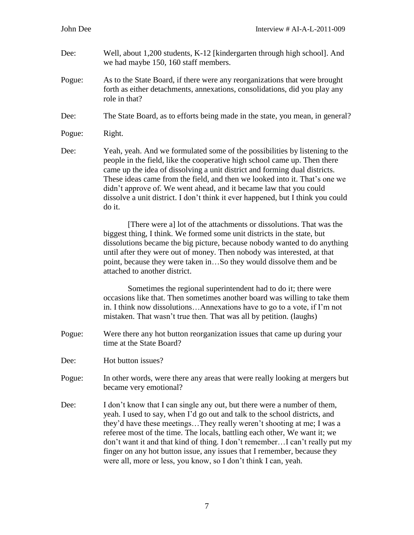- Dee: Well, about 1,200 students, K-12 [kindergarten through high school]. And we had maybe 150, 160 staff members.
- Pogue: As to the State Board, if there were any reorganizations that were brought forth as either detachments, annexations, consolidations, did you play any role in that?
- Dee: The State Board, as to efforts being made in the state, you mean, in general?

Dee: Yeah, yeah. And we formulated some of the possibilities by listening to the people in the field, like the cooperative high school came up. Then there came up the idea of dissolving a unit district and forming dual districts. These ideas came from the field, and then we looked into it. That's one we didn't approve of. We went ahead, and it became law that you could dissolve a unit district. I don't think it ever happened, but I think you could do it.

> [There were a] lot of the attachments or dissolutions. That was the biggest thing, I think. We formed some unit districts in the state, but dissolutions became the big picture, because nobody wanted to do anything until after they were out of money. Then nobody was interested, at that point, because they were taken in…So they would dissolve them and be attached to another district.

> Sometimes the regional superintendent had to do it; there were occasions like that. Then sometimes another board was willing to take them in. I think now dissolutions…Annexations have to go to a vote, if I'm not mistaken. That wasn't true then. That was all by petition. (laughs)

- Pogue: Were there any hot button reorganization issues that came up during your time at the State Board?
- Dee: Hot button issues?
- Pogue: In other words, were there any areas that were really looking at mergers but became very emotional?
- Dee: I don't know that I can single any out, but there were a number of them, yeah. I used to say, when I'd go out and talk to the school districts, and they'd have these meetings…They really weren't shooting at me; I was a referee most of the time. The locals, battling each other, We want it; we don't want it and that kind of thing. I don't remember…I can't really put my finger on any hot button issue, any issues that I remember, because they were all, more or less, you know, so I don't think I can, yeah.

Pogue: Right.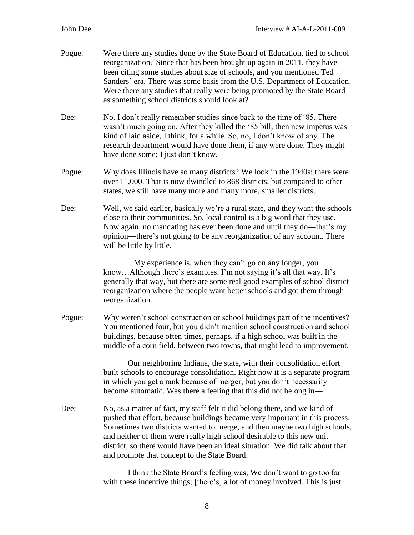| Pogue: | Were there any studies done by the State Board of Education, tied to school<br>reorganization? Since that has been brought up again in 2011, they have<br>been citing some studies about size of schools, and you mentioned Ted<br>Sanders' era. There was some basis from the U.S. Department of Education.<br>Were there any studies that really were being promoted by the State Board<br>as something school districts should look at?         |
|--------|----------------------------------------------------------------------------------------------------------------------------------------------------------------------------------------------------------------------------------------------------------------------------------------------------------------------------------------------------------------------------------------------------------------------------------------------------|
| Dee:   | No. I don't really remember studies since back to the time of '85. There<br>wasn't much going on. After they killed the '85 bill, then new impetus was<br>kind of laid aside, I think, for a while. So, no, I don't know of any. The<br>research department would have done them, if any were done. They might<br>have done some; I just don't know.                                                                                               |
| Pogue: | Why does Illinois have so many districts? We look in the 1940s; there were<br>over 11,000. That is now dwindled to 868 districts, but compared to other<br>states, we still have many more and many more, smaller districts.                                                                                                                                                                                                                       |
| Dee:   | Well, we said earlier, basically we're a rural state, and they want the schools<br>close to their communities. So, local control is a big word that they use.<br>Now again, no mandating has ever been done and until they do—that's my<br>opinion—there's not going to be any reorganization of any account. There<br>will be little by little.                                                                                                   |
|        | My experience is, when they can't go on any longer, you<br>knowAlthough there's examples. I'm not saying it's all that way. It's<br>generally that way, but there are some real good examples of school district<br>reorganization where the people want better schools and got them through<br>reorganization.                                                                                                                                    |
| Pogue: | Why weren't school construction or school buildings part of the incentives?<br>You mentioned four, but you didn't mention school construction and school<br>buildings, because often times, perhaps, if a high school was built in the<br>middle of a corn field, between two towns, that might lead to improvement.                                                                                                                               |
|        | Our neighboring Indiana, the state, with their consolidation effort<br>built schools to encourage consolidation. Right now it is a separate program<br>in which you get a rank because of merger, but you don't necessarily<br>become automatic. Was there a feeling that this did not belong in—                                                                                                                                                  |
| Dee:   | No, as a matter of fact, my staff felt it did belong there, and we kind of<br>pushed that effort, because buildings became very important in this process.<br>Sometimes two districts wanted to merge, and then maybe two high schools,<br>and neither of them were really high school desirable to this new unit<br>district, so there would have been an ideal situation. We did talk about that<br>and promote that concept to the State Board. |
|        |                                                                                                                                                                                                                                                                                                                                                                                                                                                    |

I think the State Board's feeling was, We don't want to go too far with these incentive things; [there's] a lot of money involved. This is just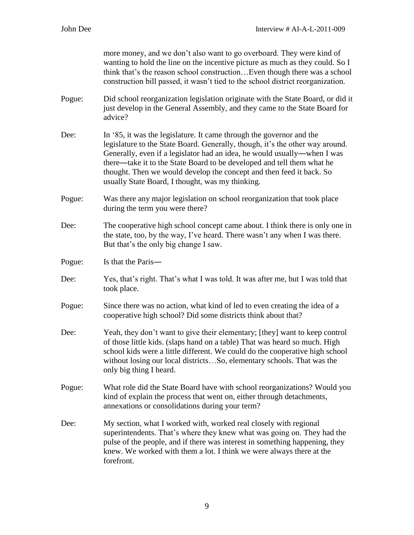|        | more money, and we don't also want to go overboard. They were kind of<br>wanting to hold the line on the incentive picture as much as they could. So I<br>think that's the reason school constructionEven though there was a school<br>construction bill passed, it wasn't tied to the school district reorganization.                                                                                                                  |
|--------|-----------------------------------------------------------------------------------------------------------------------------------------------------------------------------------------------------------------------------------------------------------------------------------------------------------------------------------------------------------------------------------------------------------------------------------------|
| Pogue: | Did school reorganization legislation originate with the State Board, or did it<br>just develop in the General Assembly, and they came to the State Board for<br>advice?                                                                                                                                                                                                                                                                |
| Dee:   | In '85, it was the legislature. It came through the governor and the<br>legislature to the State Board. Generally, though, it's the other way around.<br>Generally, even if a legislator had an idea, he would usually—when I was<br>there—take it to the State Board to be developed and tell them what he<br>thought. Then we would develop the concept and then feed it back. So<br>usually State Board, I thought, was my thinking. |
| Pogue: | Was there any major legislation on school reorganization that took place<br>during the term you were there?                                                                                                                                                                                                                                                                                                                             |
| Dee:   | The cooperative high school concept came about. I think there is only one in<br>the state, too, by the way, I've heard. There wasn't any when I was there.<br>But that's the only big change I saw.                                                                                                                                                                                                                                     |
| Pogue: | Is that the Paris-                                                                                                                                                                                                                                                                                                                                                                                                                      |
| Dee:   | Yes, that's right. That's what I was told. It was after me, but I was told that<br>took place.                                                                                                                                                                                                                                                                                                                                          |
| Pogue: | Since there was no action, what kind of led to even creating the idea of a<br>cooperative high school? Did some districts think about that?                                                                                                                                                                                                                                                                                             |
| Dee:   | Yeah, they don't want to give their elementary; [they] want to keep control<br>of those little kids. (slaps hand on a table) That was heard so much. High<br>school kids were a little different. We could do the cooperative high school<br>without losing our local districtsSo, elementary schools. That was the<br>only big thing I heard.                                                                                          |
| Pogue: | What role did the State Board have with school reorganizations? Would you<br>kind of explain the process that went on, either through detachments,<br>annexations or consolidations during your term?                                                                                                                                                                                                                                   |
| Dee:   | My section, what I worked with, worked real closely with regional<br>superintendents. That's where they knew what was going on. They had the<br>pulse of the people, and if there was interest in something happening, they<br>knew. We worked with them a lot. I think we were always there at the<br>forefront.                                                                                                                       |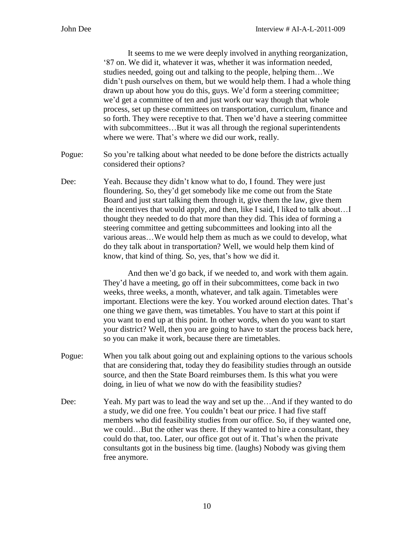It seems to me we were deeply involved in anything reorganization, '87 on. We did it, whatever it was, whether it was information needed, studies needed, going out and talking to the people, helping them…We didn't push ourselves on them, but we would help them. I had a whole thing drawn up about how you do this, guys. We'd form a steering committee; we'd get a committee of ten and just work our way though that whole process, set up these committees on transportation, curriculum, finance and so forth. They were receptive to that. Then we'd have a steering committee with subcommittees...But it was all through the regional superintendents where we were. That's where we did our work, really.

- Pogue: So you're talking about what needed to be done before the districts actually considered their options?
- Dee: Yeah. Because they didn't know what to do, I found. They were just floundering. So, they'd get somebody like me come out from the State Board and just start talking them through it, give them the law, give them the incentives that would apply, and then, like I said, I liked to talk about…I thought they needed to do that more than they did. This idea of forming a steering committee and getting subcommittees and looking into all the various areas…We would help them as much as we could to develop, what do they talk about in transportation? Well, we would help them kind of know, that kind of thing. So, yes, that's how we did it.

And then we'd go back, if we needed to, and work with them again. They'd have a meeting, go off in their subcommittees, come back in two weeks, three weeks, a month, whatever, and talk again. Timetables were important. Elections were the key. You worked around election dates. That's one thing we gave them, was timetables. You have to start at this point if you want to end up at this point. In other words, when do you want to start your district? Well, then you are going to have to start the process back here, so you can make it work, because there are timetables.

- Pogue: When you talk about going out and explaining options to the various schools that are considering that, today they do feasibility studies through an outside source, and then the State Board reimburses them. Is this what you were doing, in lieu of what we now do with the feasibility studies?
- Dee: Yeah. My part was to lead the way and set up the…And if they wanted to do a study, we did one free. You couldn't beat our price. I had five staff members who did feasibility studies from our office. So, if they wanted one, we could…But the other was there. If they wanted to hire a consultant, they could do that, too. Later, our office got out of it. That's when the private consultants got in the business big time. (laughs) Nobody was giving them free anymore.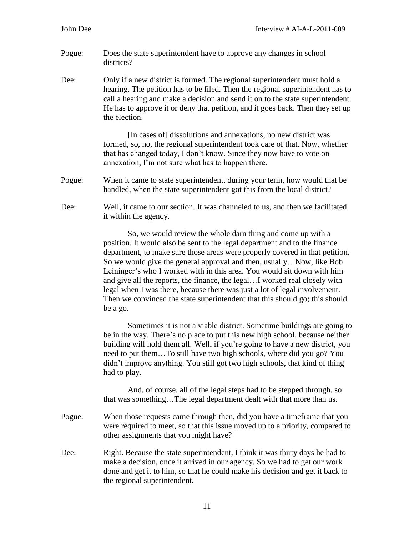- Pogue: Does the state superintendent have to approve any changes in school districts?
- Dee: Only if a new district is formed. The regional superintendent must hold a hearing. The petition has to be filed. Then the regional superintendent has to call a hearing and make a decision and send it on to the state superintendent. He has to approve it or deny that petition, and it goes back. Then they set up the election.

[In cases of] dissolutions and annexations, no new district was formed, so, no, the regional superintendent took care of that. Now, whether that has changed today, I don't know. Since they now have to vote on annexation, I'm not sure what has to happen there.

- Pogue: When it came to state superintendent, during your term, how would that be handled, when the state superintendent got this from the local district?
- Dee: Well, it came to our section. It was channeled to us, and then we facilitated it within the agency.

So, we would review the whole darn thing and come up with a position. It would also be sent to the legal department and to the finance department, to make sure those areas were properly covered in that petition. So we would give the general approval and then, usually…Now, like Bob Leininger's who I worked with in this area. You would sit down with him and give all the reports, the finance, the legal…I worked real closely with legal when I was there, because there was just a lot of legal involvement. Then we convinced the state superintendent that this should go; this should be a go.

Sometimes it is not a viable district. Sometime buildings are going to be in the way. There's no place to put this new high school, because neither building will hold them all. Well, if you're going to have a new district, you need to put them…To still have two high schools, where did you go? You didn't improve anything. You still got two high schools, that kind of thing had to play.

And, of course, all of the legal steps had to be stepped through, so that was something…The legal department dealt with that more than us.

- Pogue: When those requests came through then, did you have a timeframe that you were required to meet, so that this issue moved up to a priority, compared to other assignments that you might have?
- Dee: Right. Because the state superintendent, I think it was thirty days he had to make a decision, once it arrived in our agency. So we had to get our work done and get it to him, so that he could make his decision and get it back to the regional superintendent.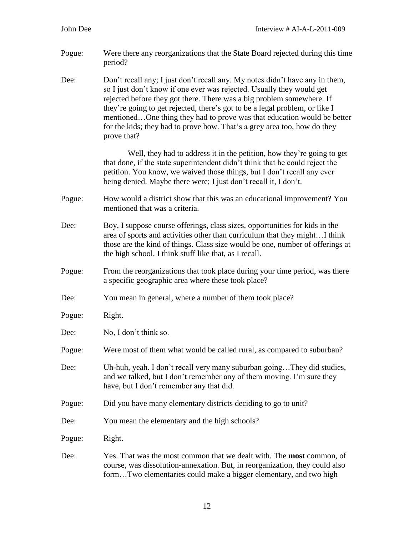- Pogue: Were there any reorganizations that the State Board rejected during this time period?
- Dee: Don't recall any; I just don't recall any. My notes didn't have any in them, so I just don't know if one ever was rejected. Usually they would get rejected before they got there. There was a big problem somewhere. If they're going to get rejected, there's got to be a legal problem, or like I mentioned…One thing they had to prove was that education would be better for the kids; they had to prove how. That's a grey area too, how do they prove that?

Well, they had to address it in the petition, how they're going to get that done, if the state superintendent didn't think that he could reject the petition. You know, we waived those things, but I don't recall any ever being denied. Maybe there were; I just don't recall it, I don't.

- Pogue: How would a district show that this was an educational improvement? You mentioned that was a criteria.
- Dee: Boy, I suppose course offerings, class sizes, opportunities for kids in the area of sports and activities other than curriculum that they might…I think those are the kind of things. Class size would be one, number of offerings at the high school. I think stuff like that, as I recall.
- Pogue: From the reorganizations that took place during your time period, was there a specific geographic area where these took place?
- Dee: You mean in general, where a number of them took place?
- Pogue: Right.
- Dee: No, I don't think so.
- Pogue: Were most of them what would be called rural, as compared to suburban?
- Dee: Uh-huh, yeah. I don't recall very many suburban going... They did studies, and we talked, but I don't remember any of them moving. I'm sure they have, but I don't remember any that did.
- Pogue: Did you have many elementary districts deciding to go to unit?
- Dee: You mean the elementary and the high schools?
- Pogue: Right.
- Dee: Yes. That was the most common that we dealt with. The **most** common, of course, was dissolution-annexation. But, in reorganization, they could also form…Two elementaries could make a bigger elementary, and two high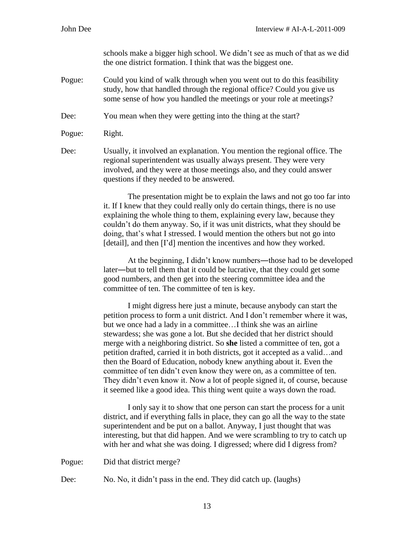schools make a bigger high school. We didn't see as much of that as we did the one district formation. I think that was the biggest one.

Pogue: Could you kind of walk through when you went out to do this feasibility study, how that handled through the regional office? Could you give us some sense of how you handled the meetings or your role at meetings?

Dee: You mean when they were getting into the thing at the start?

Pogue: Right.

Dee: Usually, it involved an explanation. You mention the regional office. The regional superintendent was usually always present. They were very involved, and they were at those meetings also, and they could answer questions if they needed to be answered.

> The presentation might be to explain the laws and not go too far into it. If I knew that they could really only do certain things, there is no use explaining the whole thing to them, explaining every law, because they couldn't do them anyway. So, if it was unit districts, what they should be doing, that's what I stressed. I would mention the others but not go into [detail], and then [I'd] mention the incentives and how they worked.

> At the beginning, I didn't know numbers―those had to be developed later―but to tell them that it could be lucrative, that they could get some good numbers, and then get into the steering committee idea and the committee of ten. The committee of ten is key.

I might digress here just a minute, because anybody can start the petition process to form a unit district. And I don't remember where it was, but we once had a lady in a committee…I think she was an airline stewardess; she was gone a lot. But she decided that her district should merge with a neighboring district. So **she** listed a committee of ten, got a petition drafted, carried it in both districts, got it accepted as a valid…and then the Board of Education, nobody knew anything about it. Even the committee of ten didn't even know they were on, as a committee of ten. They didn't even know it. Now a lot of people signed it, of course, because it seemed like a good idea. This thing went quite a ways down the road.

I only say it to show that one person can start the process for a unit district, and if everything falls in place, they can go all the way to the state superintendent and be put on a ballot. Anyway, I just thought that was interesting, but that did happen. And we were scrambling to try to catch up with her and what she was doing. I digressed; where did I digress from?

Pogue: Did that district merge?

Dee: No. No, it didn't pass in the end. They did catch up. (laughs)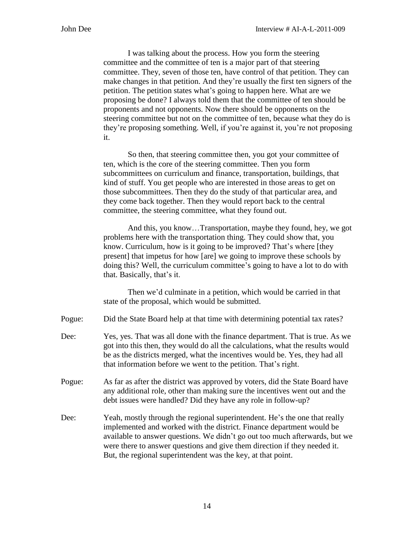I was talking about the process. How you form the steering committee and the committee of ten is a major part of that steering committee. They, seven of those ten, have control of that petition. They can make changes in that petition. And they're usually the first ten signers of the petition. The petition states what's going to happen here. What are we proposing be done? I always told them that the committee of ten should be proponents and not opponents. Now there should be opponents on the steering committee but not on the committee of ten, because what they do is they're proposing something. Well, if you're against it, you're not proposing it.

So then, that steering committee then, you got your committee of ten, which is the core of the steering committee. Then you form subcommittees on curriculum and finance, transportation, buildings, that kind of stuff. You get people who are interested in those areas to get on those subcommittees. Then they do the study of that particular area, and they come back together. Then they would report back to the central committee, the steering committee, what they found out.

And this, you know…Transportation, maybe they found, hey, we got problems here with the transportation thing. They could show that, you know. Curriculum, how is it going to be improved? That's where [they present] that impetus for how [are] we going to improve these schools by doing this? Well, the curriculum committee's going to have a lot to do with that. Basically, that's it.

Then we'd culminate in a petition, which would be carried in that state of the proposal, which would be submitted.

- Pogue: Did the State Board help at that time with determining potential tax rates?
- Dee: Yes, yes. That was all done with the finance department. That is true. As we got into this then, they would do all the calculations, what the results would be as the districts merged, what the incentives would be. Yes, they had all that information before we went to the petition. That's right.
- Pogue: As far as after the district was approved by voters, did the State Board have any additional role, other than making sure the incentives went out and the debt issues were handled? Did they have any role in follow-up?
- Dee: Yeah, mostly through the regional superintendent. He's the one that really implemented and worked with the district. Finance department would be available to answer questions. We didn't go out too much afterwards, but we were there to answer questions and give them direction if they needed it. But, the regional superintendent was the key, at that point.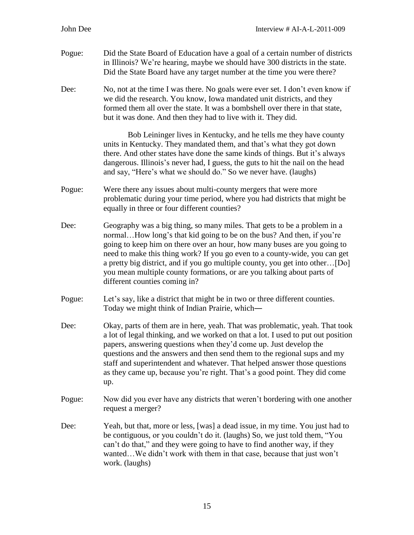| Pogue: | Did the State Board of Education have a goal of a certain number of districts<br>in Illinois? We're hearing, maybe we should have 300 districts in the state.<br>Did the State Board have any target number at the time you were there?                                                                                                                                                                                                                                                                |
|--------|--------------------------------------------------------------------------------------------------------------------------------------------------------------------------------------------------------------------------------------------------------------------------------------------------------------------------------------------------------------------------------------------------------------------------------------------------------------------------------------------------------|
| Dee:   | No, not at the time I was there. No goals were ever set. I don't even know if<br>we did the research. You know, Iowa mandated unit districts, and they<br>formed them all over the state. It was a bombshell over there in that state,<br>but it was done. And then they had to live with it. They did.                                                                                                                                                                                                |
|        | Bob Leininger lives in Kentucky, and he tells me they have county<br>units in Kentucky. They mandated them, and that's what they got down<br>there. And other states have done the same kinds of things. But it's always<br>dangerous. Illinois's never had, I guess, the guts to hit the nail on the head<br>and say, "Here's what we should do." So we never have. (laughs)                                                                                                                          |
| Pogue: | Were there any issues about multi-county mergers that were more<br>problematic during your time period, where you had districts that might be<br>equally in three or four different counties?                                                                                                                                                                                                                                                                                                          |
| Dee:   | Geography was a big thing, so many miles. That gets to be a problem in a<br>normalHow long's that kid going to be on the bus? And then, if you're<br>going to keep him on there over an hour, how many buses are you going to<br>need to make this thing work? If you go even to a county-wide, you can get<br>a pretty big district, and if you go multiple county, you get into other[Do]<br>you mean multiple county formations, or are you talking about parts of<br>different counties coming in? |
| Pogue: | Let's say, like a district that might be in two or three different counties.<br>Today we might think of Indian Prairie, which-                                                                                                                                                                                                                                                                                                                                                                         |
| Dee:   | Okay, parts of them are in here, yeah. That was problematic, yeah. That took<br>a lot of legal thinking, and we worked on that a lot. I used to put out position<br>papers, answering questions when they'd come up. Just develop the<br>questions and the answers and then send them to the regional sups and my<br>staff and superintendent and whatever. That helped answer those questions<br>as they came up, because you're right. That's a good point. They did come<br>up.                     |
| Pogue: | Now did you ever have any districts that weren't bordering with one another<br>request a merger?                                                                                                                                                                                                                                                                                                                                                                                                       |
| Dee:   | Yeah, but that, more or less, [was] a dead issue, in my time. You just had to<br>be contiguous, or you couldn't do it. (laughs) So, we just told them, "You<br>can't do that," and they were going to have to find another way, if they<br>wantedWe didn't work with them in that case, because that just won't<br>work. (laughs)                                                                                                                                                                      |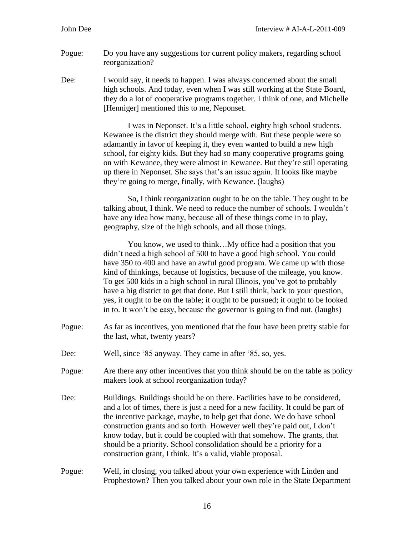- Pogue: Do you have any suggestions for current policy makers, regarding school reorganization?
- Dee: I would say, it needs to happen. I was always concerned about the small high schools. And today, even when I was still working at the State Board, they do a lot of cooperative programs together. I think of one, and Michelle [Henniger] mentioned this to me, Neponset.

I was in Neponset. It's a little school, eighty high school students. Kewanee is the district they should merge with. But these people were so adamantly in favor of keeping it, they even wanted to build a new high school, for eighty kids. But they had so many cooperative programs going on with Kewanee, they were almost in Kewanee. But they're still operating up there in Neponset. She says that's an issue again. It looks like maybe they're going to merge, finally, with Kewanee. (laughs)

So, I think reorganization ought to be on the table. They ought to be talking about, I think. We need to reduce the number of schools. I wouldn't have any idea how many, because all of these things come in to play, geography, size of the high schools, and all those things.

You know, we used to think…My office had a position that you didn't need a high school of 500 to have a good high school. You could have 350 to 400 and have an awful good program. We came up with those kind of thinkings, because of logistics, because of the mileage, you know. To get 500 kids in a high school in rural Illinois, you've got to probably have a big district to get that done. But I still think, back to your question, yes, it ought to be on the table; it ought to be pursued; it ought to be looked in to. It won't be easy, because the governor is going to find out. (laughs)

- Pogue: As far as incentives, you mentioned that the four have been pretty stable for the last, what, twenty years?
- Dee: Well, since '85 anyway. They came in after '85, so, yes.
- Pogue: Are there any other incentives that you think should be on the table as policy makers look at school reorganization today?
- Dee: Buildings. Buildings should be on there. Facilities have to be considered, and a lot of times, there is just a need for a new facility. It could be part of the incentive package, maybe, to help get that done. We do have school construction grants and so forth. However well they're paid out, I don't know today, but it could be coupled with that somehow. The grants, that should be a priority. School consolidation should be a priority for a construction grant, I think. It's a valid, viable proposal.
- Pogue: Well, in closing, you talked about your own experience with Linden and Prophestown? Then you talked about your own role in the State Department